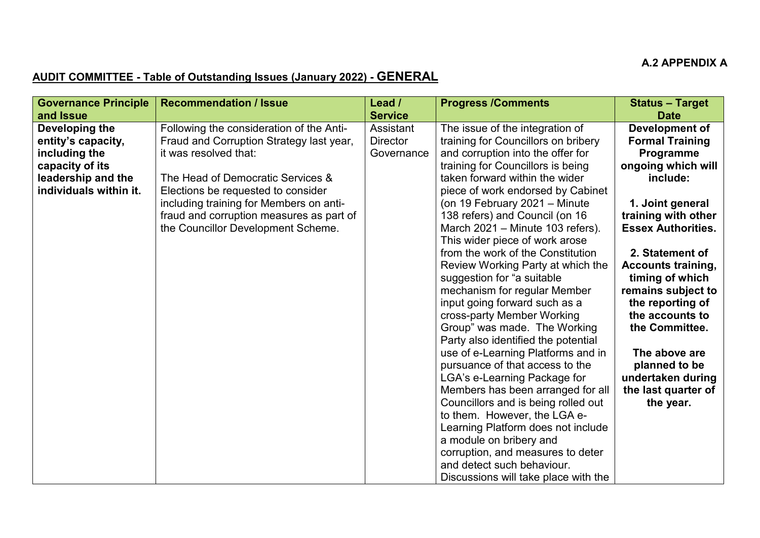### **A.2 APPENDIX A**

# **AUDIT COMMITTEE - Table of Outstanding Issues (January 2022) - GENERAL**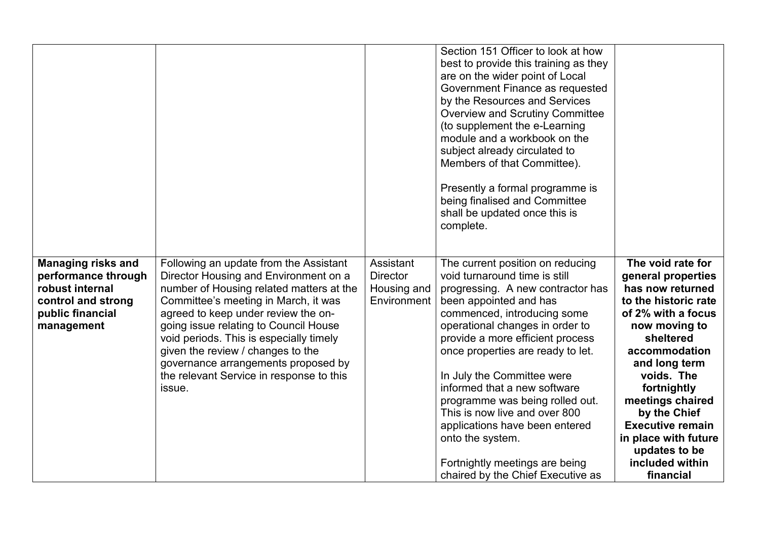|                                                                                                               |                                                                                                                                                                                                                    |                                                            | Section 151 Officer to look at how<br>best to provide this training as they<br>are on the wider point of Local<br>Government Finance as requested<br>by the Resources and Services<br><b>Overview and Scrutiny Committee</b><br>(to supplement the e-Learning<br>module and a workbook on the<br>subject already circulated to<br>Members of that Committee).<br>Presently a formal programme is<br>being finalised and Committee<br>shall be updated once this is<br>complete. |                                                                                                                                                                                                                      |
|---------------------------------------------------------------------------------------------------------------|--------------------------------------------------------------------------------------------------------------------------------------------------------------------------------------------------------------------|------------------------------------------------------------|---------------------------------------------------------------------------------------------------------------------------------------------------------------------------------------------------------------------------------------------------------------------------------------------------------------------------------------------------------------------------------------------------------------------------------------------------------------------------------|----------------------------------------------------------------------------------------------------------------------------------------------------------------------------------------------------------------------|
| <b>Managing risks and</b><br>performance through<br>robust internal<br>control and strong<br>public financial | Following an update from the Assistant<br>Director Housing and Environment on a<br>number of Housing related matters at the<br>Committee's meeting in March, it was<br>agreed to keep under review the on-         | Assistant<br><b>Director</b><br>Housing and<br>Environment | The current position on reducing<br>void turnaround time is still<br>progressing. A new contractor has<br>been appointed and has<br>commenced, introducing some                                                                                                                                                                                                                                                                                                                 | The void rate for<br>general properties<br>has now returned<br>to the historic rate<br>of 2% with a focus                                                                                                            |
| management                                                                                                    | going issue relating to Council House<br>void periods. This is especially timely<br>given the review / changes to the<br>governance arrangements proposed by<br>the relevant Service in response to this<br>issue. |                                                            | operational changes in order to<br>provide a more efficient process<br>once properties are ready to let.<br>In July the Committee were<br>informed that a new software<br>programme was being rolled out.<br>This is now live and over 800<br>applications have been entered<br>onto the system.<br>Fortnightly meetings are being                                                                                                                                              | now moving to<br>sheltered<br>accommodation<br>and long term<br>voids. The<br>fortnightly<br>meetings chaired<br>by the Chief<br><b>Executive remain</b><br>in place with future<br>updates to be<br>included within |
|                                                                                                               |                                                                                                                                                                                                                    |                                                            | chaired by the Chief Executive as                                                                                                                                                                                                                                                                                                                                                                                                                                               | financial                                                                                                                                                                                                            |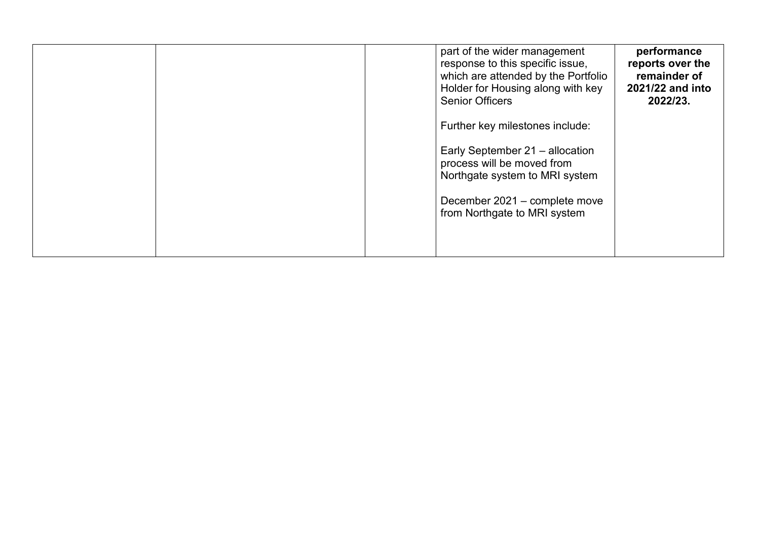|  | part of the wider management<br>response to this specific issue,<br>which are attended by the Portfolio<br>Holder for Housing along with key<br><b>Senior Officers</b> | performance<br>reports over the<br>remainder of<br>2021/22 and into<br>2022/23. |
|--|------------------------------------------------------------------------------------------------------------------------------------------------------------------------|---------------------------------------------------------------------------------|
|  | Further key milestones include:                                                                                                                                        |                                                                                 |
|  | Early September 21 - allocation<br>process will be moved from<br>Northgate system to MRI system                                                                        |                                                                                 |
|  | December 2021 - complete move<br>from Northgate to MRI system                                                                                                          |                                                                                 |
|  |                                                                                                                                                                        |                                                                                 |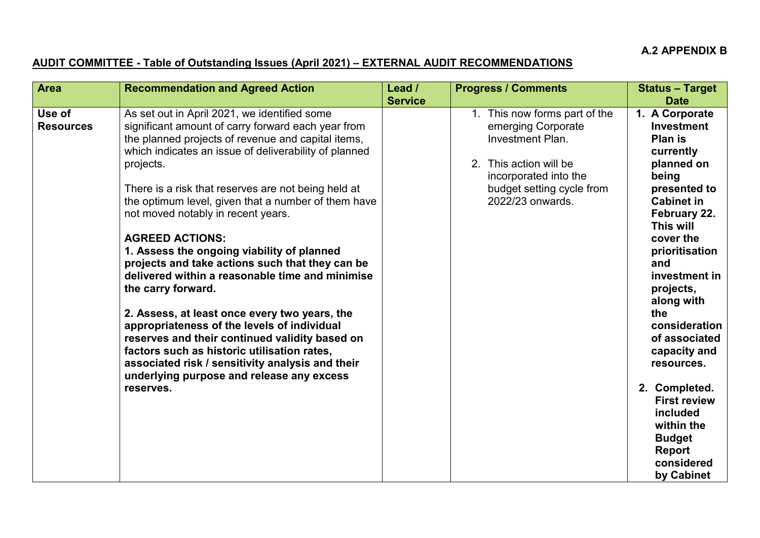#### **A.2 APPENDIX B**

### **AUDIT COMMITTEE - Table of Outstanding Issues (April 2021) – EXTERNAL AUDIT RECOMMENDATIONS**

| <b>Area</b>                | <b>Recommendation and Agreed Action</b>                                                                                                                                                                                                                                                                                                                                                                                                                                                                                                                                                                                                                                                                                                                                                                                                                                                               | Lead /<br><b>Service</b> | <b>Progress / Comments</b>                                                                                                                                                         | <b>Status - Target</b><br><b>Date</b>                                                                                                                                                                                                                                                                                                                                                                                                         |
|----------------------------|-------------------------------------------------------------------------------------------------------------------------------------------------------------------------------------------------------------------------------------------------------------------------------------------------------------------------------------------------------------------------------------------------------------------------------------------------------------------------------------------------------------------------------------------------------------------------------------------------------------------------------------------------------------------------------------------------------------------------------------------------------------------------------------------------------------------------------------------------------------------------------------------------------|--------------------------|------------------------------------------------------------------------------------------------------------------------------------------------------------------------------------|-----------------------------------------------------------------------------------------------------------------------------------------------------------------------------------------------------------------------------------------------------------------------------------------------------------------------------------------------------------------------------------------------------------------------------------------------|
| Use of<br><b>Resources</b> | As set out in April 2021, we identified some<br>significant amount of carry forward each year from<br>the planned projects of revenue and capital items,<br>which indicates an issue of deliverability of planned<br>projects.<br>There is a risk that reserves are not being held at<br>the optimum level, given that a number of them have<br>not moved notably in recent years.<br><b>AGREED ACTIONS:</b><br>1. Assess the ongoing viability of planned<br>projects and take actions such that they can be<br>delivered within a reasonable time and minimise<br>the carry forward.<br>2. Assess, at least once every two years, the<br>appropriateness of the levels of individual<br>reserves and their continued validity based on<br>factors such as historic utilisation rates,<br>associated risk / sensitivity analysis and their<br>underlying purpose and release any excess<br>reserves. |                          | 1. This now forms part of the<br>emerging Corporate<br><b>Investment Plan.</b><br>2. This action will be<br>incorporated into the<br>budget setting cycle from<br>2022/23 onwards. | 1. A Corporate<br><b>Investment</b><br>Plan is<br>currently<br>planned on<br>being<br>presented to<br><b>Cabinet in</b><br>February 22.<br>This will<br>cover the<br>prioritisation<br>and<br>investment in<br>projects,<br>along with<br>the<br>consideration<br>of associated<br>capacity and<br>resources.<br>2. Completed.<br><b>First review</b><br>included<br>within the<br><b>Budget</b><br><b>Report</b><br>considered<br>by Cabinet |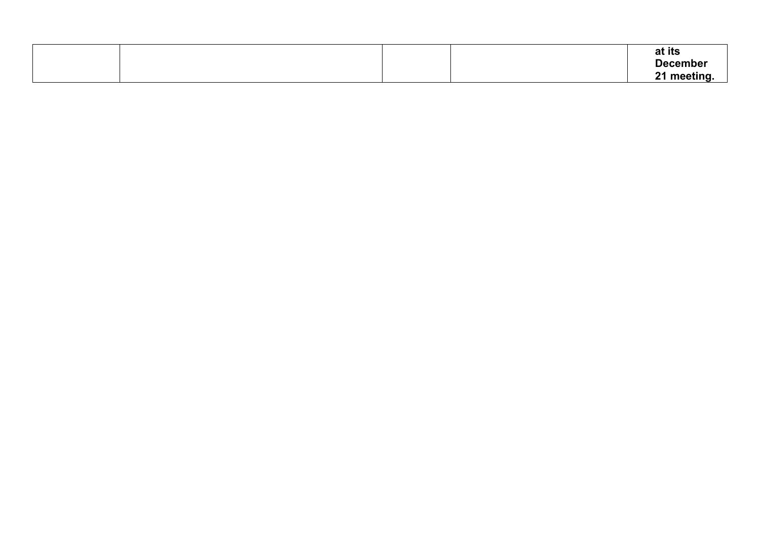|  |  | at its                            |
|--|--|-----------------------------------|
|  |  | <b>December</b>                   |
|  |  | $\mathbf{A}$<br>moo<br>- -<br>. . |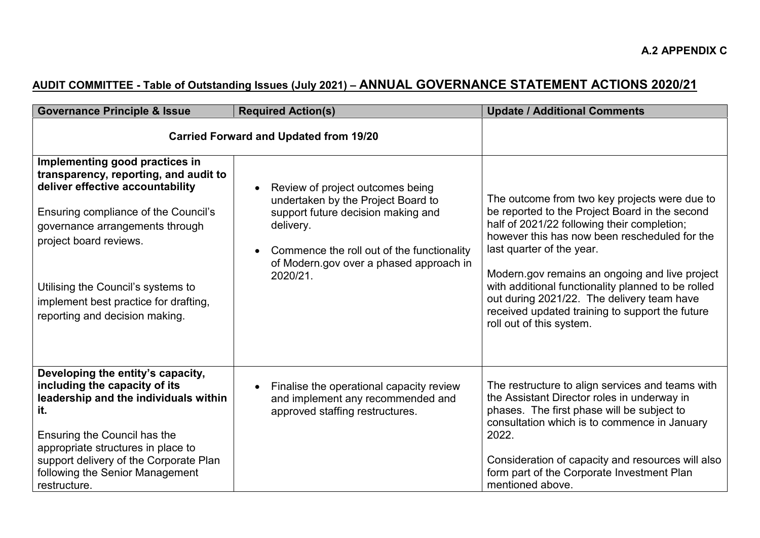# **AUDIT COMMITTEE - Table of Outstanding Issues (July 2021) – ANNUAL GOVERNANCE STATEMENT ACTIONS 2020/21**

| <b>Governance Principle &amp; Issue</b>                                                                                                                                                                                                                                                                                           | <b>Required Action(s)</b>                                                                                                                                                                                                      | <b>Update / Additional Comments</b>                                                                                                                                                                                                                                                                                                                                                                                                                               |
|-----------------------------------------------------------------------------------------------------------------------------------------------------------------------------------------------------------------------------------------------------------------------------------------------------------------------------------|--------------------------------------------------------------------------------------------------------------------------------------------------------------------------------------------------------------------------------|-------------------------------------------------------------------------------------------------------------------------------------------------------------------------------------------------------------------------------------------------------------------------------------------------------------------------------------------------------------------------------------------------------------------------------------------------------------------|
|                                                                                                                                                                                                                                                                                                                                   | <b>Carried Forward and Updated from 19/20</b>                                                                                                                                                                                  |                                                                                                                                                                                                                                                                                                                                                                                                                                                                   |
| Implementing good practices in<br>transparency, reporting, and audit to<br>deliver effective accountability<br>Ensuring compliance of the Council's<br>governance arrangements through<br>project board reviews.<br>Utilising the Council's systems to<br>implement best practice for drafting,<br>reporting and decision making. | Review of project outcomes being<br>undertaken by the Project Board to<br>support future decision making and<br>delivery.<br>Commence the roll out of the functionality<br>of Modern.gov over a phased approach in<br>2020/21. | The outcome from two key projects were due to<br>be reported to the Project Board in the second<br>half of 2021/22 following their completion;<br>however this has now been rescheduled for the<br>last quarter of the year.<br>Modern gov remains an ongoing and live project<br>with additional functionality planned to be rolled<br>out during 2021/22. The delivery team have<br>received updated training to support the future<br>roll out of this system. |
| Developing the entity's capacity,<br>including the capacity of its<br>leadership and the individuals within<br>it.<br>Ensuring the Council has the<br>appropriate structures in place to<br>support delivery of the Corporate Plan<br>following the Senior Management<br>restructure.                                             | Finalise the operational capacity review<br>and implement any recommended and<br>approved staffing restructures.                                                                                                               | The restructure to align services and teams with<br>the Assistant Director roles in underway in<br>phases. The first phase will be subject to<br>consultation which is to commence in January<br>2022.<br>Consideration of capacity and resources will also<br>form part of the Corporate Investment Plan<br>mentioned above.                                                                                                                                     |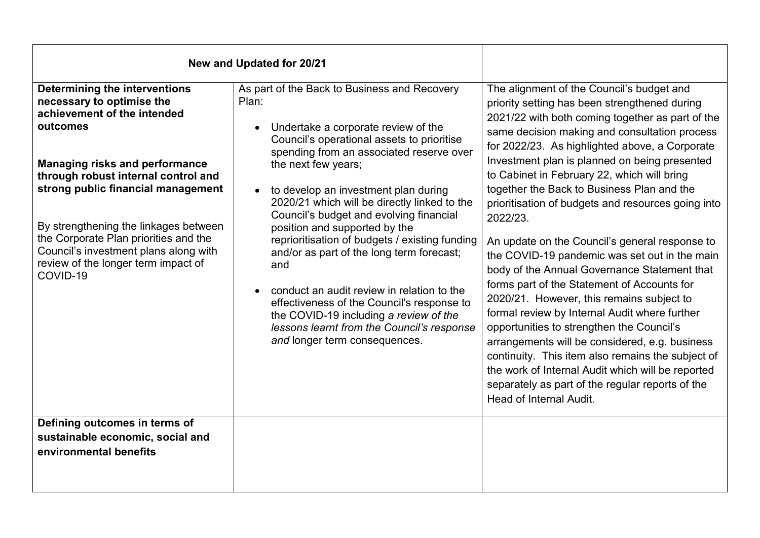| New and Updated for 20/21                                                                                                                                                                                                                                                                                                                                                                                        |                                                                                                                                                                                                                                                                                                                                                                                                                                                                                                                                                                                                                                                                                                                           |                                                                                                                                                                                                                                                                                                                                                                                                                                                                                                                                                                                                                                                                                                                                                                                                                                                                                                                                                                                                                                                           |
|------------------------------------------------------------------------------------------------------------------------------------------------------------------------------------------------------------------------------------------------------------------------------------------------------------------------------------------------------------------------------------------------------------------|---------------------------------------------------------------------------------------------------------------------------------------------------------------------------------------------------------------------------------------------------------------------------------------------------------------------------------------------------------------------------------------------------------------------------------------------------------------------------------------------------------------------------------------------------------------------------------------------------------------------------------------------------------------------------------------------------------------------------|-----------------------------------------------------------------------------------------------------------------------------------------------------------------------------------------------------------------------------------------------------------------------------------------------------------------------------------------------------------------------------------------------------------------------------------------------------------------------------------------------------------------------------------------------------------------------------------------------------------------------------------------------------------------------------------------------------------------------------------------------------------------------------------------------------------------------------------------------------------------------------------------------------------------------------------------------------------------------------------------------------------------------------------------------------------|
| <b>Determining the interventions</b><br>necessary to optimise the<br>achievement of the intended<br>outcomes<br><b>Managing risks and performance</b><br>through robust internal control and<br>strong public financial management<br>By strengthening the linkages between<br>the Corporate Plan priorities and the<br>Council's investment plans along with<br>review of the longer term impact of<br>COVID-19 | As part of the Back to Business and Recovery<br>Plan:<br>Undertake a corporate review of the<br>Council's operational assets to prioritise<br>spending from an associated reserve over<br>the next few years;<br>to develop an investment plan during<br>$\bullet$<br>2020/21 which will be directly linked to the<br>Council's budget and evolving financial<br>position and supported by the<br>reprioritisation of budgets / existing funding<br>and/or as part of the long term forecast;<br>and<br>conduct an audit review in relation to the<br>effectiveness of the Council's response to<br>the COVID-19 including a review of the<br>lessons learnt from the Council's response<br>and longer term consequences. | The alignment of the Council's budget and<br>priority setting has been strengthened during<br>2021/22 with both coming together as part of the<br>same decision making and consultation process<br>for 2022/23. As highlighted above, a Corporate<br>Investment plan is planned on being presented<br>to Cabinet in February 22, which will bring<br>together the Back to Business Plan and the<br>prioritisation of budgets and resources going into<br>2022/23.<br>An update on the Council's general response to<br>the COVID-19 pandemic was set out in the main<br>body of the Annual Governance Statement that<br>forms part of the Statement of Accounts for<br>2020/21. However, this remains subject to<br>formal review by Internal Audit where further<br>opportunities to strengthen the Council's<br>arrangements will be considered, e.g. business<br>continuity. This item also remains the subject of<br>the work of Internal Audit which will be reported<br>separately as part of the regular reports of the<br>Head of Internal Audit. |
| Defining outcomes in terms of<br>sustainable economic, social and<br>environmental benefits                                                                                                                                                                                                                                                                                                                      |                                                                                                                                                                                                                                                                                                                                                                                                                                                                                                                                                                                                                                                                                                                           |                                                                                                                                                                                                                                                                                                                                                                                                                                                                                                                                                                                                                                                                                                                                                                                                                                                                                                                                                                                                                                                           |